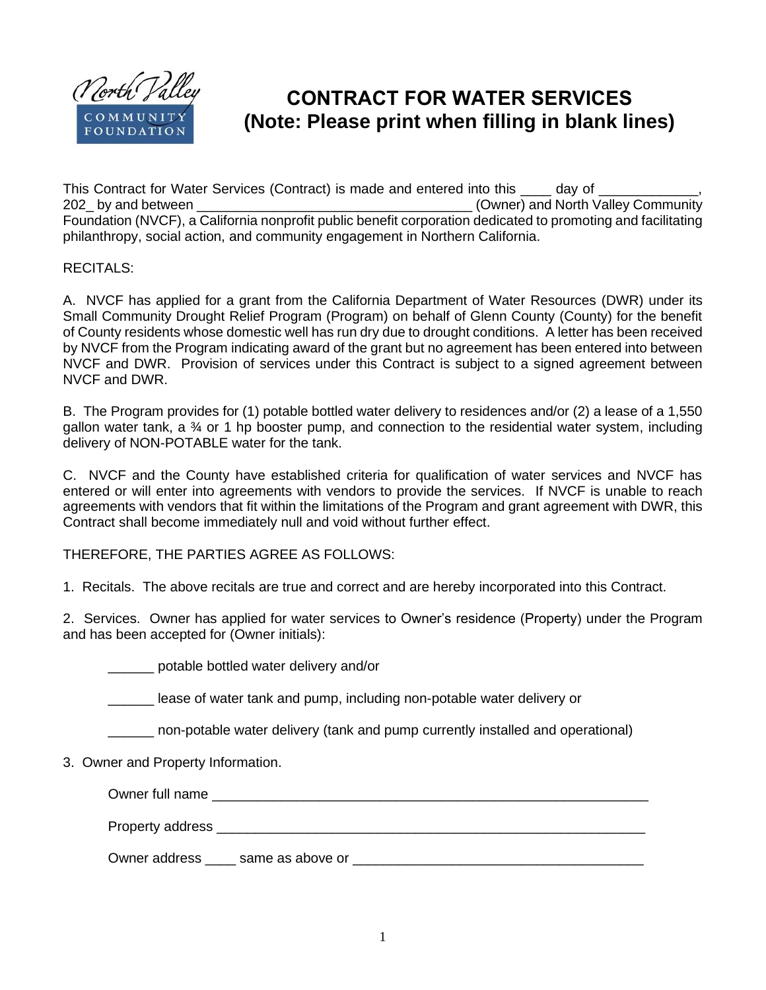

## **CONTRACT FOR WATER SERVICES (Note: Please print when filling in blank lines)**

This Contract for Water Services (Contract) is made and entered into this \_\_\_\_\_\_\_ day of 202\_ by and between \_\_\_\_\_\_\_\_\_\_\_\_\_\_\_\_\_\_\_\_\_\_\_\_\_\_\_\_\_\_\_\_\_\_\_\_ (Owner) and North Valley Community Foundation (NVCF), a California nonprofit public benefit corporation dedicated to promoting and facilitating philanthropy, social action, and community engagement in Northern California.

## RECITALS:

A. NVCF has applied for a grant from the California Department of Water Resources (DWR) under its Small Community Drought Relief Program (Program) on behalf of Glenn County (County) for the benefit of County residents whose domestic well has run dry due to drought conditions. A letter has been received by NVCF from the Program indicating award of the grant but no agreement has been entered into between NVCF and DWR. Provision of services under this Contract is subject to a signed agreement between NVCF and DWR.

B. The Program provides for (1) potable bottled water delivery to residences and/or (2) a lease of a 1,550 gallon water tank, a ¾ or 1 hp booster pump, and connection to the residential water system, including delivery of NON-POTABLE water for the tank.

C. NVCF and the County have established criteria for qualification of water services and NVCF has entered or will enter into agreements with vendors to provide the services. If NVCF is unable to reach agreements with vendors that fit within the limitations of the Program and grant agreement with DWR, this Contract shall become immediately null and void without further effect.

THEREFORE, THE PARTIES AGREE AS FOLLOWS:

1. Recitals. The above recitals are true and correct and are hereby incorporated into this Contract.

2. Services. Owner has applied for water services to Owner's residence (Property) under the Program and has been accepted for (Owner initials):

\_\_\_\_\_\_ potable bottled water delivery and/or

lease of water tank and pump, including non-potable water delivery or

\_\_\_\_\_\_ non-potable water delivery (tank and pump currently installed and operational)

3. Owner and Property Information.

| Owner full name  |                  |  |
|------------------|------------------|--|
| Property address |                  |  |
| Owner address    | same as above or |  |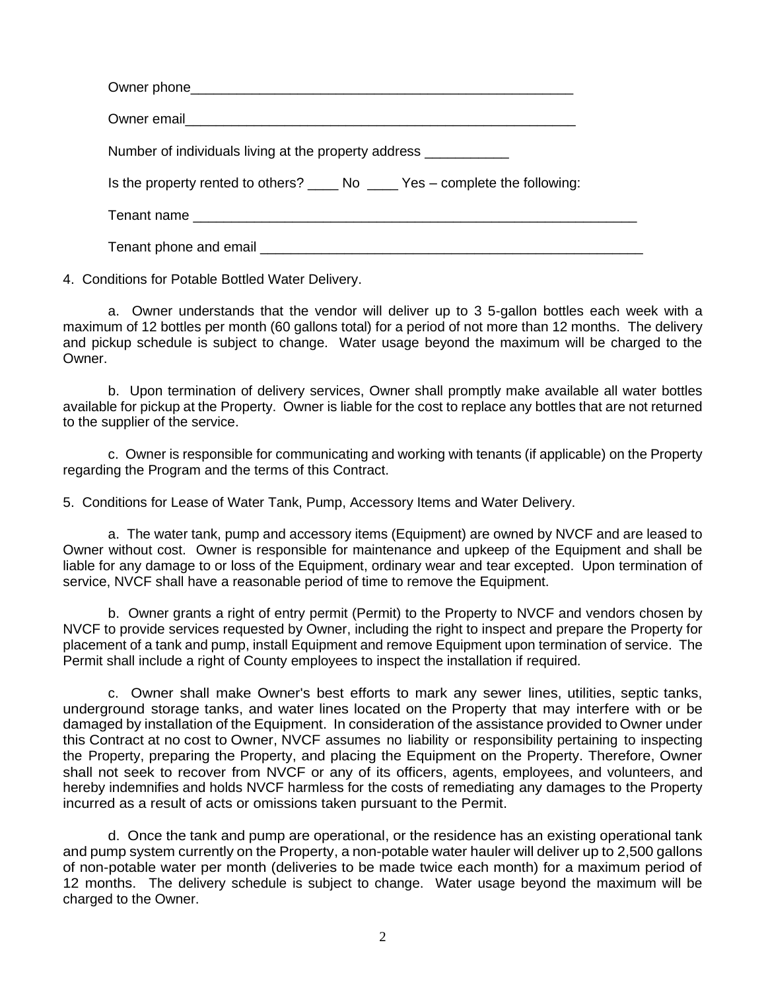| Number of individuals living at the property address ____________ |
|-------------------------------------------------------------------|
|                                                                   |
|                                                                   |
|                                                                   |

4. Conditions for Potable Bottled Water Delivery.

a. Owner understands that the vendor will deliver up to 3 5-gallon bottles each week with a maximum of 12 bottles per month (60 gallons total) for a period of not more than 12 months. The delivery and pickup schedule is subject to change. Water usage beyond the maximum will be charged to the Owner.

b. Upon termination of delivery services, Owner shall promptly make available all water bottles available for pickup at the Property. Owner is liable for the cost to replace any bottles that are not returned to the supplier of the service.

c. Owner is responsible for communicating and working with tenants (if applicable) on the Property regarding the Program and the terms of this Contract.

5. Conditions for Lease of Water Tank, Pump, Accessory Items and Water Delivery.

a. The water tank, pump and accessory items (Equipment) are owned by NVCF and are leased to Owner without cost. Owner is responsible for maintenance and upkeep of the Equipment and shall be liable for any damage to or loss of the Equipment, ordinary wear and tear excepted. Upon termination of service, NVCF shall have a reasonable period of time to remove the Equipment.

b. Owner grants a right of entry permit (Permit) to the Property to NVCF and vendors chosen by NVCF to provide services requested by Owner, including the right to inspect and prepare the Property for placement of a tank and pump, install Equipment and remove Equipment upon termination of service. The Permit shall include a right of County employees to inspect the installation if required.

c. Owner shall make Owner's best efforts to mark any sewer lines, utilities, septic tanks, underground storage tanks, and water lines located on the Property that may interfere with or be damaged by installation of the Equipment. In consideration of the assistance provided to Owner under this Contract at no cost to Owner, NVCF assumes no liability or responsibility pertaining to inspecting the Property, preparing the Property, and placing the Equipment on the Property. Therefore, Owner shall not seek to recover from NVCF or any of its officers, agents, employees, and volunteers, and hereby indemnifies and holds NVCF harmless for the costs of remediating any damages to the Property incurred as a result of acts or omissions taken pursuant to the Permit.

d. Once the tank and pump are operational, or the residence has an existing operational tank and pump system currently on the Property, a non-potable water hauler will deliver up to 2,500 gallons of non-potable water per month (deliveries to be made twice each month) for a maximum period of 12 months. The delivery schedule is subject to change. Water usage beyond the maximum will be charged to the Owner.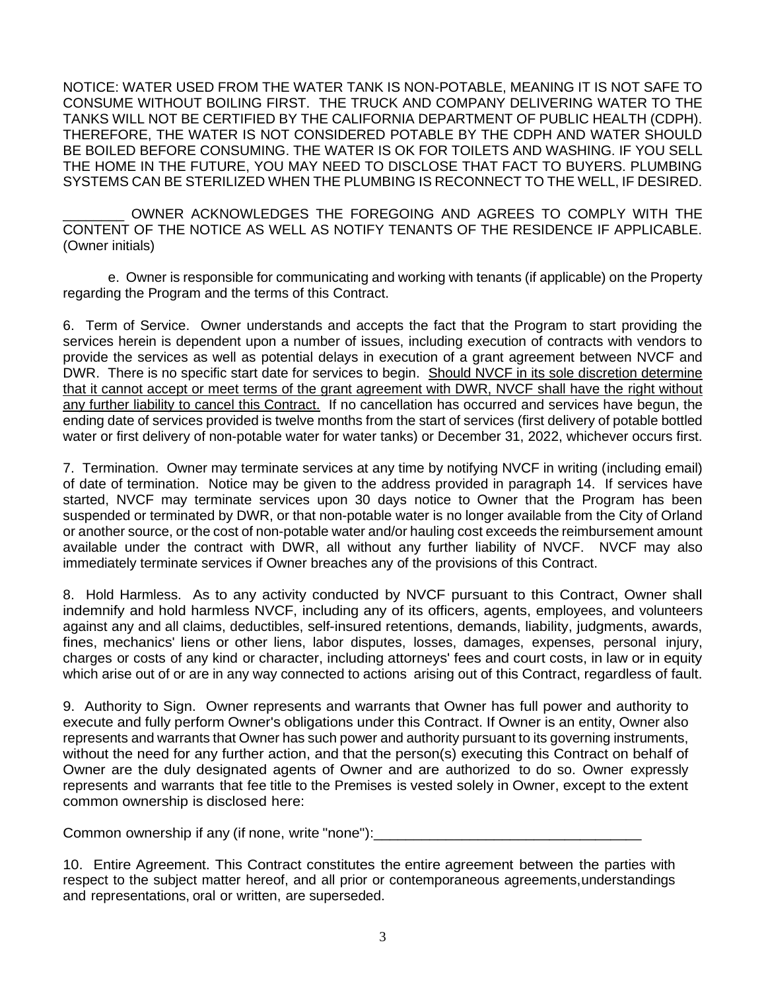NOTICE: WATER USED FROM THE WATER TANK IS NON-POTABLE, MEANING IT IS NOT SAFE TO CONSUME WITHOUT BOILING FIRST. THE TRUCK AND COMPANY DELIVERING WATER TO THE TANKS WILL NOT BE CERTIFIED BY THE CALIFORNIA DEPARTMENT OF PUBLIC HEALTH (CDPH). THEREFORE, THE WATER IS NOT CONSIDERED POTABLE BY THE CDPH AND WATER SHOULD BE BOILED BEFORE CONSUMING. THE WATER IS OK FOR TOILETS AND WASHING. IF YOU SELL THE HOME IN THE FUTURE, YOU MAY NEED TO DISCLOSE THAT FACT TO BUYERS. PLUMBING SYSTEMS CAN BE STERILIZED WHEN THE PLUMBING IS RECONNECT TO THE WELL, IF DESIRED.

OWNER ACKNOWLEDGES THE FOREGOING AND AGREES TO COMPLY WITH THE CONTENT OF THE NOTICE AS WELL AS NOTIFY TENANTS OF THE RESIDENCE IF APPLICABLE. (Owner initials)

e. Owner is responsible for communicating and working with tenants (if applicable) on the Property regarding the Program and the terms of this Contract.

6. Term of Service. Owner understands and accepts the fact that the Program to start providing the services herein is dependent upon a number of issues, including execution of contracts with vendors to provide the services as well as potential delays in execution of a grant agreement between NVCF and DWR. There is no specific start date for services to begin. Should NVCF in its sole discretion determine that it cannot accept or meet terms of the grant agreement with DWR, NVCF shall have the right without any further liability to cancel this Contract. If no cancellation has occurred and services have begun, the ending date of services provided is twelve months from the start of services (first delivery of potable bottled water or first delivery of non-potable water for water tanks) or December 31, 2022, whichever occurs first.

7. Termination. Owner may terminate services at any time by notifying NVCF in writing (including email) of date of termination. Notice may be given to the address provided in paragraph 14. If services have started, NVCF may terminate services upon 30 days notice to Owner that the Program has been suspended or terminated by DWR, or that non-potable water is no longer available from the City of Orland or another source, or the cost of non-potable water and/or hauling cost exceeds the reimbursement amount available under the contract with DWR, all without any further liability of NVCF. NVCF may also immediately terminate services if Owner breaches any of the provisions of this Contract.

8. Hold Harmless. As to any activity conducted by NVCF pursuant to this Contract, Owner shall indemnify and hold harmless NVCF, including any of its officers, agents, employees, and volunteers against any and all claims, deductibles, self-insured retentions, demands, liability, judgments, awards, fines, mechanics' liens or other liens, labor disputes, losses, damages, expenses, personal injury, charges or costs of any kind or character, including attorneys' fees and court costs, in law or in equity which arise out of or are in any way connected to actions arising out of this Contract, regardless of fault.

9. Authority to Sign. Owner represents and warrants that Owner has full power and authority to execute and fully perform Owner's obligations under this Contract. If Owner is an entity, Owner also represents and warrants that Owner has such power and authority pursuant to its governing instruments, without the need for any further action, and that the person(s) executing this Contract on behalf of Owner are the duly designated agents of Owner and are authorized to do so. Owner expressly represents and warrants that fee title to the Premises is vested solely in Owner, except to the extent common ownership is disclosed here:

Common ownership if any (if none, write "none"):

10. Entire Agreement. This Contract constitutes the entire agreement between the parties with respect to the subject matter hereof, and all prior or contemporaneous agreements,understandings and representations, oral or written, are superseded.